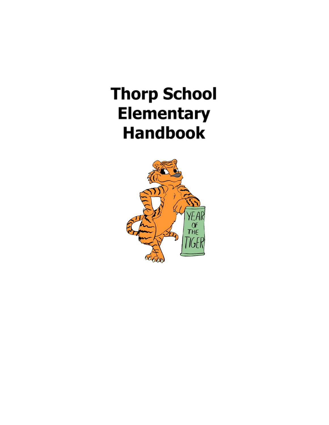# **Thorp School Elementary Handbook**

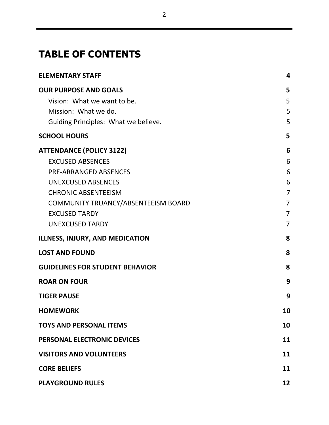# **TABLE OF CONTENTS**

| <b>ELEMENTARY STAFF</b>                | $\overline{\mathbf{4}}$ |
|----------------------------------------|-------------------------|
| <b>OUR PURPOSE AND GOALS</b>           | 5                       |
| Vision: What we want to be.            | 5                       |
| Mission: What we do.                   | 5                       |
| Guiding Principles: What we believe.   | 5                       |
| <b>SCHOOL HOURS</b>                    | 5                       |
| <b>ATTENDANCE (POLICY 3122)</b>        | 6                       |
| <b>EXCUSED ABSENCES</b>                | 6                       |
| <b>PRE-ARRANGED ABSENCES</b>           | 6                       |
| <b>UNEXCUSED ABSENCES</b>              | 6                       |
| <b>CHRONIC ABSENTEEISM</b>             | $\overline{7}$          |
| COMMUNITY TRUANCY/ABSENTEEISM BOARD    | $\overline{7}$          |
| <b>EXCUSED TARDY</b>                   | $\overline{7}$          |
| <b>UNEXCUSED TARDY</b>                 | $\overline{7}$          |
| <b>ILLNESS, INJURY, AND MEDICATION</b> | 8                       |
| <b>LOST AND FOUND</b>                  | 8                       |
| <b>GUIDELINES FOR STUDENT BEHAVIOR</b> | 8                       |
| <b>ROAR ON FOUR</b>                    | 9                       |
| <b>TIGER PAUSE</b>                     | 9                       |
| <b>HOMEWORK</b>                        | 10                      |
| <b>TOYS AND PERSONAL ITEMS</b>         | 10                      |
| PERSONAL ELECTRONIC DEVICES            | 11                      |
| <b>VISITORS AND VOLUNTEERS</b>         | 11                      |
| <b>CORE BELIEFS</b>                    | 11                      |
| <b>PLAYGROUND RULES</b>                | 12                      |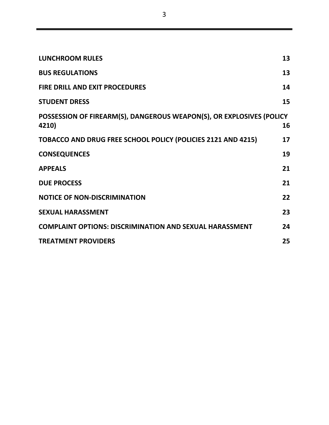3

| <b>LUNCHROOM RULES</b>                                                        | 13 |
|-------------------------------------------------------------------------------|----|
| <b>BUS REGULATIONS</b>                                                        | 13 |
| <b>FIRE DRILL AND EXIT PROCEDURES</b>                                         | 14 |
| <b>STUDENT DRESS</b>                                                          | 15 |
| POSSESSION OF FIREARM(S), DANGEROUS WEAPON(S), OR EXPLOSIVES (POLICY<br>4210) | 16 |
| TOBACCO AND DRUG FREE SCHOOL POLICY (POLICIES 2121 AND 4215)                  | 17 |
| <b>CONSEQUENCES</b>                                                           | 19 |
| <b>APPEALS</b>                                                                | 21 |
| <b>DUE PROCESS</b>                                                            | 21 |
| <b>NOTICE OF NON-DISCRIMINATION</b>                                           | 22 |
| <b>SEXUAL HARASSMENT</b>                                                      | 23 |
| <b>COMPLAINT OPTIONS: DISCRIMINATION AND SEXUAL HARASSMENT</b>                | 24 |
| <b>TREATMENT PROVIDERS</b>                                                    | 25 |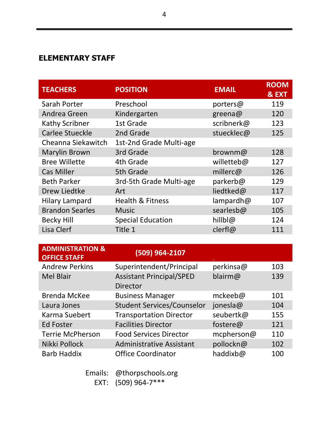# <span id="page-3-0"></span>**ELEMENTARY STAFF**

| <b>TEACHERS</b>        | <b>POSITION</b>          | <b>EMAIL</b> | <b>ROOM</b><br>& EXT |
|------------------------|--------------------------|--------------|----------------------|
| Sarah Porter           | Preschool                | porters@     | 119                  |
| Andrea Green           | Kindergarten             | greena@      | 120                  |
| <b>Kathy Scribner</b>  | 1st Grade                | scribnerk@   | 123                  |
| <b>Carlee Stueckle</b> | 2nd Grade                | stuecklec@   | 125                  |
| Cheanna Siekawitch     | 1st-2nd Grade Multi-age  |              |                      |
| <b>Marylin Brown</b>   | 3rd Grade                | brownm@      | 128                  |
| <b>Bree Willette</b>   | 4th Grade                | willetteb@   | 127                  |
| <b>Cas Miller</b>      | 5th Grade                | millerc@     | 126                  |
| <b>Beth Parker</b>     | 3rd-5th Grade Multi-age  | parkerb@     | 129                  |
| Drew Liedtke           | Art                      | liedtked@    | 117                  |
| <b>Hilary Lampard</b>  | Health & Fitness         | lampardh@    | 107                  |
| <b>Brandon Searles</b> | <b>Music</b>             | searlesb@    | 105                  |
| <b>Becky Hill</b>      | <b>Special Education</b> | hillbl@      | 124                  |
| <b>Lisa Clerf</b>      | Title 1                  | clerfl@      | 111                  |

| <b>ADMINISTRATION &amp;</b><br><b>OFFICE STAFF</b> | (509) 964-2107                                     |            |     |
|----------------------------------------------------|----------------------------------------------------|------------|-----|
| <b>Andrew Perkins</b>                              | Superintendent/Principal                           | perkinsa@  | 103 |
| <b>Mel Blair</b>                                   | <b>Assistant Principal/SPED</b><br><b>Director</b> | blairm@    | 139 |
| <b>Brenda McKee</b>                                | <b>Business Manager</b>                            | mckeeb@    | 101 |
| Laura Jones                                        | <b>Student Services/Counselor</b>                  | jonesla@   | 104 |
| Karma Suebert                                      | <b>Transportation Director</b>                     | seubertk@  | 155 |
| <b>Ed Foster</b>                                   | <b>Facilities Director</b>                         | fostere@   | 121 |
| <b>Terrie McPherson</b>                            | <b>Food Services Director</b>                      | mcpherson@ | 110 |
| Nikki Pollock                                      | <b>Administrative Assistant</b>                    | pollockn@  | 102 |
| <b>Barb Haddix</b>                                 | <b>Office Coordinator</b>                          | haddixb@   | 100 |

Emails: @thorpschools.org EXT: (509) 964-7\*\*\*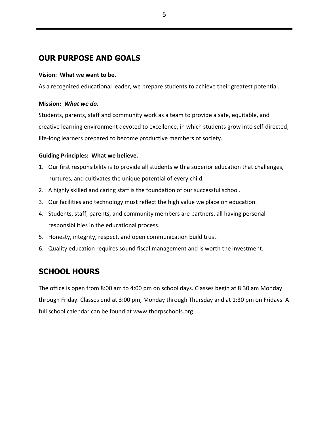### <span id="page-4-0"></span>**OUR PURPOSE AND GOALS**

#### <span id="page-4-1"></span>**Vision: What we want to be.**

As a recognized educational leader, we prepare students to achieve their greatest potential.

#### <span id="page-4-2"></span>**Mission:** *What we do.*

Students, parents, staff and community work as a team to provide a safe, equitable, and creative learning environment devoted to excellence, in which students grow into self-directed, life-long learners prepared to become productive members of society.

#### <span id="page-4-3"></span>**Guiding Principles: What we believe.**

- 1. Our first responsibility is to provide all students with a superior education that challenges, nurtures, and cultivates the unique potential of every child.
- 2. A highly skilled and caring staff is the foundation of our successful school.
- 3. Our facilities and technology must reflect the high value we place on education.
- 4. Students, staff, parents, and community members are partners, all having personal responsibilities in the educational process.
- 5. Honesty, integrity, respect, and open communication build trust.
- 6. Quality education requires sound fiscal management and is worth the investment.

### <span id="page-4-4"></span>**SCHOOL HOURS**

The office is open from 8:00 am to 4:00 pm on school days. Classes begin at 8:30 am Monday through Friday. Classes end at 3:00 pm, Monday through Thursday and at 1:30 pm on Fridays. A full school calendar can be found at www.thorpschools.org.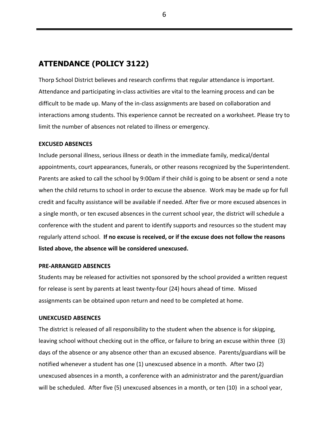### <span id="page-5-0"></span>**ATTENDANCE (POLICY 3122)**

Thorp School District believes and research confirms that regular attendance is important. Attendance and participating in-class activities are vital to the learning process and can be difficult to be made up. Many of the in-class assignments are based on collaboration and interactions among students. This experience cannot be recreated on a worksheet. Please try to limit the number of absences not related to illness or emergency.

#### <span id="page-5-1"></span>**EXCUSED ABSENCES**

Include personal illness, serious illness or death in the immediate family, medical/dental appointments, court appearances, funerals, or other reasons recognized by the Superintendent. Parents are asked to call the school by 9:00am if their child is going to be absent or send a note when the child returns to school in order to excuse the absence. Work may be made up for full credit and faculty assistance will be available if needed. After five or more excused absences in a single month, or ten excused absences in the current school year, the district will schedule a conference with the student and parent to identify supports and resources so the student may regularly attend school. **If no excuse is received, or if the excuse does not follow the reasons listed above, the absence will be considered unexcused.**

#### <span id="page-5-2"></span>**PRE-ARRANGED ABSENCES**

Students may be released for activities not sponsored by the school provided a written request for release is sent by parents at least twenty-four (24) hours ahead of time. Missed assignments can be obtained upon return and need to be completed at home.

#### <span id="page-5-3"></span>**UNEXCUSED ABSENCES**

The district is released of all responsibility to the student when the absence is for skipping, leaving school without checking out in the office, or failure to bring an excuse within three (3) days of the absence or any absence other than an excused absence. Parents/guardians will be notified whenever a student has one (1) unexcused absence in a month. After two (2) unexcused absences in a month, a conference with an administrator and the parent/guardian will be scheduled. After five (5) unexcused absences in a month, or ten (10) in a school year,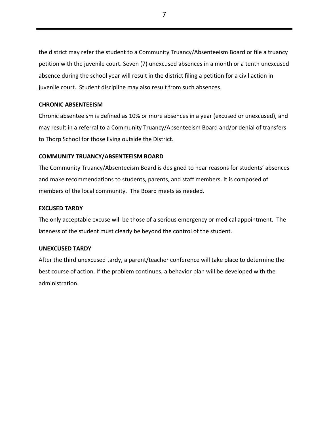the district may refer the student to a Community Truancy/Absenteeism Board or file a truancy petition with the juvenile court. Seven (7) unexcused absences in a month or a tenth unexcused absence during the school year will result in the district filing a petition for a civil action in juvenile court. Student discipline may also result from such absences.

#### <span id="page-6-0"></span>**CHRONIC ABSENTEEISM**

Chronic absenteeism is defined as 10% or more absences in a year (excused or unexcused), and may result in a referral to a Community Truancy/Absenteeism Board and/or denial of transfers to Thorp School for those living outside the District.

#### <span id="page-6-1"></span>**COMMUNITY TRUANCY/ABSENTEEISM BOARD**

The Community Truancy/Absenteeism Board is designed to hear reasons for students' absences and make recommendations to students, parents, and staff members. It is composed of members of the local community. The Board meets as needed.

#### <span id="page-6-2"></span>**EXCUSED TARDY**

The only acceptable excuse will be those of a serious emergency or medical appointment. The lateness of the student must clearly be beyond the control of the student.

#### <span id="page-6-3"></span>**UNEXCUSED TARDY**

After the third unexcused tardy, a parent/teacher conference will take place to determine the best course of action. If the problem continues, a behavior plan will be developed with the administration.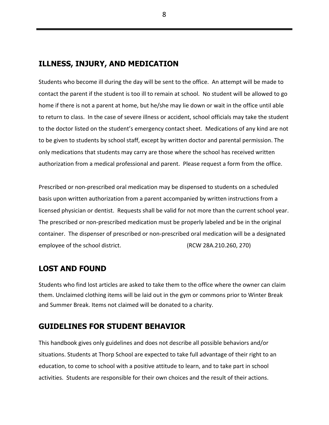#### <span id="page-7-0"></span>**ILLNESS, INJURY, AND MEDICATION**

Students who become ill during the day will be sent to the office. An attempt will be made to contact the parent if the student is too ill to remain at school. No student will be allowed to go home if there is not a parent at home, but he/she may lie down or wait in the office until able to return to class. In the case of severe illness or accident, school officials may take the student to the doctor listed on the student's emergency contact sheet. Medications of any kind are not to be given to students by school staff, except by written doctor and parental permission. The only medications that students may carry are those where the school has received written authorization from a medical professional and parent. Please request a form from the office.

Prescribed or non-prescribed oral medication may be dispensed to students on a scheduled basis upon written authorization from a parent accompanied by written instructions from a licensed physician or dentist. Requests shall be valid for not more than the current school year. The prescribed or non-prescribed medication must be properly labeled and be in the original container. The dispenser of prescribed or non-prescribed oral medication will be a designated employee of the school district. (RCW 28A.210.260, 270)

### <span id="page-7-1"></span>**LOST AND FOUND**

Students who find lost articles are asked to take them to the office where the owner can claim them. Unclaimed clothing items will be laid out in the gym or commons prior to Winter Break and Summer Break. Items not claimed will be donated to a charity.

### <span id="page-7-2"></span>**GUIDELINES FOR STUDENT BEHAVIOR**

This handbook gives only guidelines and does not describe all possible behaviors and/or situations. Students at Thorp School are expected to take full advantage of their right to an education, to come to school with a positive attitude to learn, and to take part in school activities. Students are responsible for their own choices and the result of their actions.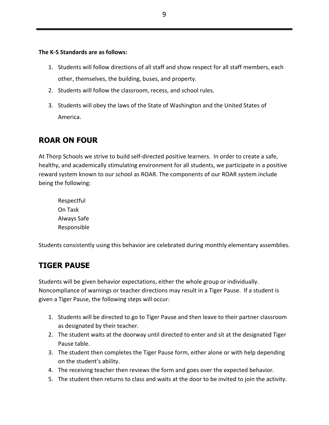#### **The K-5 Standards are as follows:**

- 1. Students will follow directions of all staff and show respect for all staff members, each other, themselves, the building, buses, and property.
- 2. Students will follow the classroom, recess, and school rules.
- 3. Students will obey the laws of the State of Washington and the United States of America.

### <span id="page-8-0"></span>**ROAR ON FOUR**

At Thorp Schools we strive to build self-directed positive learners. In order to create a safe, healthy, and academically stimulating environment for all students, we participate in a positive reward system known to our school as ROAR. The components of our ROAR system include being the following:

Respectful On Task Always Safe Responsible

<span id="page-8-1"></span>Students consistently using this behavior are celebrated during monthly elementary assemblies.

## **TIGER PAUSE**

Students will be given behavior expectations, either the whole group or individually. Noncompliance of warnings or teacher directions may result in a Tiger Pause. If a student is given a Tiger Pause, the following steps will occur:

- 1. Students will be directed to go to Tiger Pause and then leave to their partner classroom as designated by their teacher.
- 2. The student waits at the doorway until directed to enter and sit at the designated Tiger Pause table.
- 3. The student then completes the Tiger Pause form, either alone or with help depending on the student's ability.
- 4. The receiving teacher then reviews the form and goes over the expected behavior.
- 5. The student then returns to class and waits at the door to be invited to join the activity.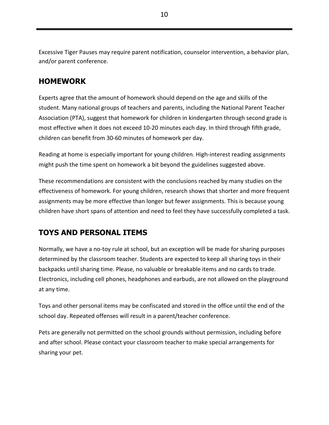Excessive Tiger Pauses may require parent notification, counselor intervention, a behavior plan, and/or parent conference.

### <span id="page-9-0"></span>**HOMEWORK**

Experts agree that the amount of homework should depend on the age and skills of the student. Many national groups of teachers and parents, including the National Parent Teacher Association (PTA), suggest that homework for children in kindergarten through second grade is most effective when it does not exceed 10-20 minutes each day. In third through fifth grade, children can benefit from 30-60 minutes of homework per day.

Reading at home is especially important for young children. High-interest reading assignments might push the time spent on homework a bit beyond the guidelines suggested above.

These recommendations are consistent with the conclusions reached by many studies on the effectiveness of homework. For young children, research shows that shorter and more frequent assignments may be more effective than longer but fewer assignments. This is because young children have short spans of attention and need to feel they have successfully completed a task.

### <span id="page-9-1"></span>**TOYS AND PERSONAL ITEMS**

Normally, we have a no-toy rule at school, but an exception will be made for sharing purposes determined by the classroom teacher. Students are expected to keep all sharing toys in their backpacks until sharing time. Please, no valuable or breakable items and no cards to trade. Electronics, including cell phones, headphones and earbuds, are not allowed on the playground at any time.

Toys and other personal items may be confiscated and stored in the office until the end of the school day. Repeated offenses will result in a parent/teacher conference.

Pets are generally not permitted on the school grounds without permission, including before and after school. Please contact your classroom teacher to make special arrangements for sharing your pet.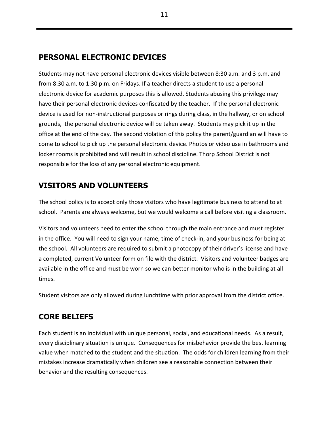### <span id="page-10-0"></span>**PERSONAL ELECTRONIC DEVICES**

Students may not have personal electronic devices visible between 8:30 a.m. and 3 p.m. and from 8:30 a.m. to 1:30 p.m. on Fridays. If a teacher directs a student to use a personal electronic device for academic purposes this is allowed. Students abusing this privilege may have their personal electronic devices confiscated by the teacher. If the personal electronic device is used for non-instructional purposes or rings during class, in the hallway, or on school grounds, the personal electronic device will be taken away. Students may pick it up in the office at the end of the day. The second violation of this policy the parent/guardian will have to come to school to pick up the personal electronic device. Photos or video use in bathrooms and locker rooms is prohibited and will result in school discipline. Thorp School District is not responsible for the loss of any personal electronic equipment.

### <span id="page-10-1"></span>**VISITORS AND VOLUNTEERS**

The school policy is to accept only those visitors who have legitimate business to attend to at school. Parents are always welcome, but we would welcome a call before visiting a classroom.

Visitors and volunteers need to enter the school through the main entrance and must register in the office. You will need to sign your name, time of check-in, and your business for being at the school. All volunteers are required to submit a photocopy of their driver's license and have a completed, current Volunteer form on file with the district. Visitors and volunteer badges are available in the office and must be worn so we can better monitor who is in the building at all times.

Student visitors are only allowed during lunchtime with prior approval from the district office.

### <span id="page-10-2"></span>**CORE BELIEFS**

Each student is an individual with unique personal, social, and educational needs. As a result, every disciplinary situation is unique. Consequences for misbehavior provide the best learning value when matched to the student and the situation. The odds for children learning from their mistakes increase dramatically when children see a reasonable connection between their behavior and the resulting consequences.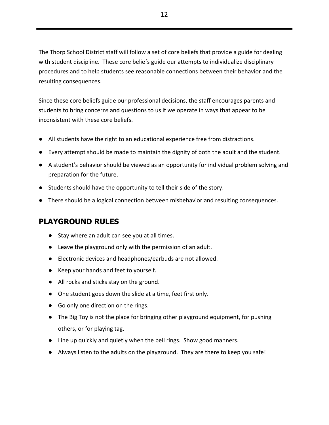The Thorp School District staff will follow a set of core beliefs that provide a guide for dealing with student discipline. These core beliefs guide our attempts to individualize disciplinary procedures and to help students see reasonable connections between their behavior and the resulting consequences.

Since these core beliefs guide our professional decisions, the staff encourages parents and students to bring concerns and questions to us if we operate in ways that appear to be inconsistent with these core beliefs.

- All students have the right to an educational experience free from distractions.
- Every attempt should be made to maintain the dignity of both the adult and the student.
- A student's behavior should be viewed as an opportunity for individual problem solving and preparation for the future.
- Students should have the opportunity to tell their side of the story.
- There should be a logical connection between misbehavior and resulting consequences.

### <span id="page-11-0"></span>**PLAYGROUND RULES**

- Stay where an adult can see you at all times.
- Leave the playground only with the permission of an adult.
- Electronic devices and headphones/earbuds are not allowed.
- Keep your hands and feet to yourself.
- All rocks and sticks stay on the ground.
- One student goes down the slide at a time, feet first only.
- Go only one direction on the rings.
- The Big Toy is not the place for bringing other playground equipment, for pushing others, or for playing tag.
- Line up quickly and quietly when the bell rings. Show good manners.
- Always listen to the adults on the playground. They are there to keep you safe!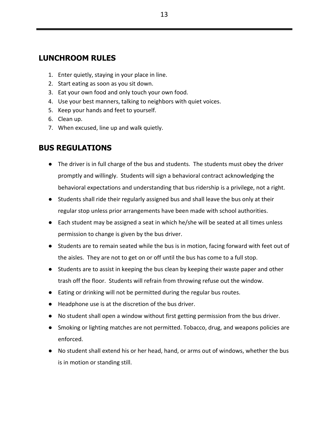#### <span id="page-12-0"></span>**LUNCHROOM RULES**

- 1. Enter quietly, staying in your place in line.
- 2. Start eating as soon as you sit down.
- 3. Eat your own food and only touch your own food.
- 4. Use your best manners, talking to neighbors with quiet voices.
- 5. Keep your hands and feet to yourself.
- 6. Clean up.
- 7. When excused, line up and walk quietly.

#### <span id="page-12-1"></span>**BUS REGULATIONS**

- The driver is in full charge of the bus and students. The students must obey the driver promptly and willingly. Students will sign a behavioral contract acknowledging the behavioral expectations and understanding that bus ridership is a privilege, not a right.
- Students shall ride their regularly assigned bus and shall leave the bus only at their regular stop unless prior arrangements have been made with school authorities.
- Each student may be assigned a seat in which he/she will be seated at all times unless permission to change is given by the bus driver.
- Students are to remain seated while the bus is in motion, facing forward with feet out of the aisles. They are not to get on or off until the bus has come to a full stop.
- Students are to assist in keeping the bus clean by keeping their waste paper and other trash off the floor. Students will refrain from throwing refuse out the window.
- Eating or drinking will not be permitted during the regular bus routes.
- Headphone use is at the discretion of the bus driver.
- No student shall open a window without first getting permission from the bus driver.
- Smoking or lighting matches are not permitted. Tobacco, drug, and weapons policies are enforced.
- No student shall extend his or her head, hand, or arms out of windows, whether the bus is in motion or standing still.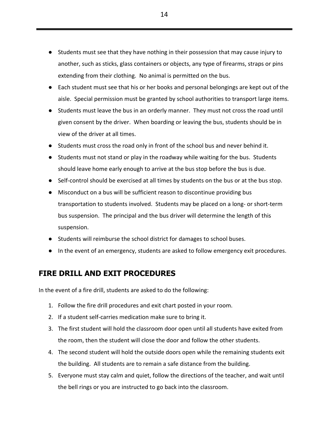- Students must see that they have nothing in their possession that may cause injury to another, such as sticks, glass containers or objects, any type of firearms, straps or pins extending from their clothing. No animal is permitted on the bus.
- Each student must see that his or her books and personal belongings are kept out of the aisle. Special permission must be granted by school authorities to transport large items.
- Students must leave the bus in an orderly manner. They must not cross the road until given consent by the driver. When boarding or leaving the bus, students should be in view of the driver at all times.
- Students must cross the road only in front of the school bus and never behind it.
- Students must not stand or play in the roadway while waiting for the bus. Students should leave home early enough to arrive at the bus stop before the bus is due.
- Self-control should be exercised at all times by students on the bus or at the bus stop.
- Misconduct on a bus will be sufficient reason to discontinue providing bus transportation to students involved. Students may be placed on a long- or short-term bus suspension. The principal and the bus driver will determine the length of this suspension.
- Students will reimburse the school district for damages to school buses.
- In the event of an emergency, students are asked to follow emergency exit procedures.

#### <span id="page-13-0"></span>**FIRE DRILL AND EXIT PROCEDURES**

In the event of a fire drill, students are asked to do the following:

- 1. Follow the fire drill procedures and exit chart posted in your room.
- 2. If a student self-carries medication make sure to bring it.
- 3. The first student will hold the classroom door open until all students have exited from the room, then the student will close the door and follow the other students.
- 4. The second student will hold the outside doors open while the remaining students exit the building. All students are to remain a safe distance from the building.
- 5. Everyone must stay calm and quiet, follow the directions of the teacher, and wait until the bell rings or you are instructed to go back into the classroom.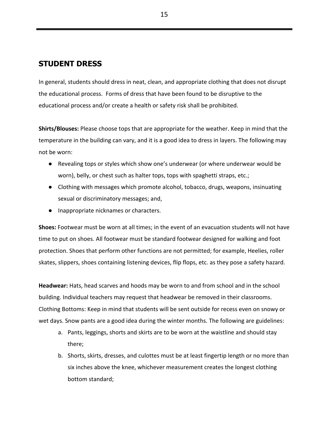#### <span id="page-14-0"></span>**STUDENT DRESS**

In general, students should dress in neat, clean, and appropriate clothing that does not disrupt the educational process. Forms of dress that have been found to be disruptive to the educational process and/or create a health or safety risk shall be prohibited.

**Shirts/Blouses:** Please choose tops that are appropriate for the weather. Keep in mind that the temperature in the building can vary, and it is a good idea to dress in layers. The following may not be worn:

- Revealing tops or styles which show one's underwear (or where underwear would be worn), belly, or chest such as halter tops, tops with spaghetti straps, etc.;
- Clothing with messages which promote alcohol, tobacco, drugs, weapons, insinuating sexual or discriminatory messages; and,
- Inappropriate nicknames or characters.

**Shoes:** Footwear must be worn at all times; in the event of an evacuation students will not have time to put on shoes. All footwear must be standard footwear designed for walking and foot protection. Shoes that perform other functions are not permitted; for example, Heelies, roller skates, slippers, shoes containing listening devices, flip flops, etc. as they pose a safety hazard.

**Headwear:** Hats, head scarves and hoods may be worn to and from school and in the school building. Individual teachers may request that headwear be removed in their classrooms. Clothing Bottoms: Keep in mind that students will be sent outside for recess even on snowy or wet days. Snow pants are a good idea during the winter months. The following are guidelines:

- a. Pants, leggings, shorts and skirts are to be worn at the waistline and should stay there;
- b. Shorts, skirts, dresses, and culottes must be at least fingertip length or no more than six inches above the knee, whichever measurement creates the longest clothing bottom standard;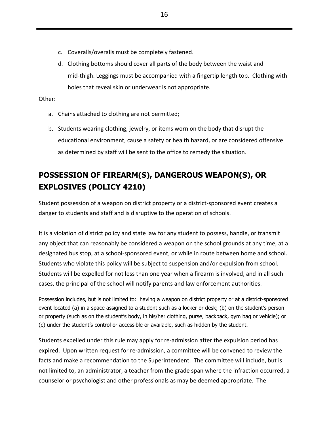- c. Coveralls/overalls must be completely fastened.
- d. Clothing bottoms should cover all parts of the body between the waist and mid-thigh. Leggings must be accompanied with a fingertip length top. Clothing with holes that reveal skin or underwear is not appropriate.

#### Other:

- a. Chains attached to clothing are not permitted;
- b. Students wearing clothing, jewelry, or items worn on the body that disrupt the educational environment, cause a safety or health hazard, or are considered offensive as determined by staff will be sent to the office to remedy the situation.

# <span id="page-15-0"></span>**POSSESSION OF FIREARM(S), DANGEROUS WEAPON(S), OR EXPLOSIVES (POLICY 4210)**

Student possession of a weapon on district property or a district-sponsored event creates a danger to students and staff and is disruptive to the operation of schools.

It is a violation of district policy and state law for any student to possess, handle, or transmit any object that can reasonably be considered a weapon on the school grounds at any time, at a designated bus stop, at a school-sponsored event, or while in route between home and school. Students who violate this policy will be subject to suspension and/or expulsion from school. Students will be expelled for not less than one year when a firearm is involved, and in all such cases, the principal of the school will notify parents and law enforcement authorities.

Possession includes, but is not limited to: having a weapon on district property or at a district-sponsored event located (a) in a space assigned to a student such as a locker or desk; (b) on the student's person or property (such as on the student's body, in his/her clothing, purse, backpack, gym bag or vehicle); or (c) under the student's control or accessible or available, such as hidden by the student.

Students expelled under this rule may apply for re-admission after the expulsion period has expired. Upon written request for re-admission, a committee will be convened to review the facts and make a recommendation to the Superintendent. The committee will include, but is not limited to, an administrator, a teacher from the grade span where the infraction occurred, a counselor or psychologist and other professionals as may be deemed appropriate. The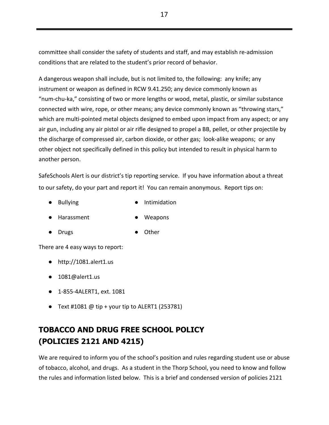committee shall consider the safety of students and staff, and may establish re-admission conditions that are related to the student's prior record of behavior.

A dangerous weapon shall include, but is not limited to, the following: any knife; any instrument or weapon as defined in RCW 9.41.250; any device commonly known as "num-chu-ka," consisting of two or more lengths or wood, metal, plastic, or similar substance connected with wire, rope, or other means; any device commonly known as "throwing stars," which are multi-pointed metal objects designed to embed upon impact from any aspect; or any air gun, including any air pistol or air rifle designed to propel a BB, pellet, or other projectile by the discharge of compressed air, carbon dioxide, or other gas; look-alike weapons; or any other object not specifically defined in this policy but intended to result in physical harm to another person.

SafeSchools Alert is our district's tip reporting service. If you have information about a threat to our safety, do your part and report it! You can remain anonymous. Report tips on:

- Bullying Intimidation
- Harassment Weapons
- Drugs Other

There are 4 easy ways to report:

- $\bullet$  [http://1081.alert1.us](http://1081.alert1.us/)
- [1081@alert1.us](mailto:1081@alert1.us)
- 1-855-4ALERT1, ext. 1081
- $\bullet$  Text #1081 @ tip + your tip to ALERT1 (253781)

# <span id="page-16-0"></span>**TOBACCO AND DRUG FREE SCHOOL POLICY (POLICIES 2121 AND 4215)**

We are required to inform you of the school's position and rules regarding student use or abuse of tobacco, alcohol, and drugs. As a student in the Thorp School, you need to know and follow the rules and information listed below. This is a brief and condensed version of policies 2121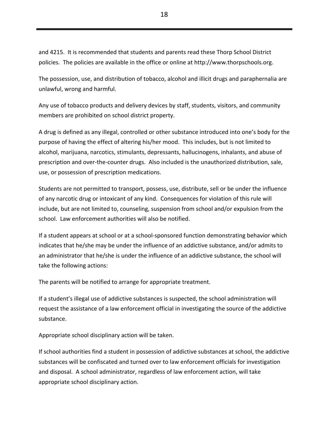and 4215. It is recommended that students and parents read these Thorp School District policies. The policies are available in the office or online at http://www.thorpschools.org.

The possession, use, and distribution of tobacco, alcohol and illicit drugs and paraphernalia are unlawful, wrong and harmful.

Any use of tobacco products and delivery devices by staff, students, visitors, and community members are prohibited on school district property.

A drug is defined as any illegal, controlled or other substance introduced into one's body for the purpose of having the effect of altering his/her mood. This includes, but is not limited to alcohol, marijuana, narcotics, stimulants, depressants, hallucinogens, inhalants, and abuse of prescription and over-the-counter drugs. Also included is the unauthorized distribution, sale, use, or possession of prescription medications.

Students are not permitted to transport, possess, use, distribute, sell or be under the influence of any narcotic drug or intoxicant of any kind. Consequences for violation of this rule will include, but are not limited to, counseling, suspension from school and/or expulsion from the school. Law enforcement authorities will also be notified.

If a student appears at school or at a school-sponsored function demonstrating behavior which indicates that he/she may be under the influence of an addictive substance, and/or admits to an administrator that he/she is under the influence of an addictive substance, the school will take the following actions:

The parents will be notified to arrange for appropriate treatment.

If a student's illegal use of addictive substances is suspected, the school administration will request the assistance of a law enforcement official in investigating the source of the addictive substance.

Appropriate school disciplinary action will be taken.

If school authorities find a student in possession of addictive substances at school, the addictive substances will be confiscated and turned over to law enforcement officials for investigation and disposal. A school administrator, regardless of law enforcement action, will take appropriate school disciplinary action.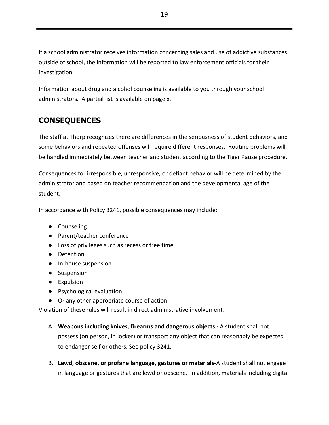If a school administrator receives information concerning sales and use of addictive substances outside of school, the information will be reported to law enforcement officials for their investigation.

Information about drug and alcohol counseling is available to you through your school administrators. A partial list is available on page x.

### <span id="page-18-0"></span>**CONSEQUENCES**

The staff at Thorp recognizes there are differences in the seriousness of student behaviors, and some behaviors and repeated offenses will require different responses. Routine problems will be handled immediately between teacher and student according to the Tiger Pause procedure.

Consequences for irresponsible, unresponsive, or defiant behavior will be determined by the administrator and based on teacher recommendation and the developmental age of the student.

In accordance with Policy 3241, possible consequences may include:

- Counseling
- Parent/teacher conference
- Loss of privileges such as recess or free time
- Detention
- In-house suspension
- Suspension
- Expulsion
- Psychological evaluation
- Or any other appropriate course of action

Violation of these rules will result in direct administrative involvement.

- A. **Weapons including knives, firearms and dangerous objects** A student shall not possess (on person, in locker) or transport any object that can reasonably be expected to endanger self or others. See policy 3241.
- B. **Lewd, obscene, or profane language, gestures or materials**-A student shall not engage in language or gestures that are lewd or obscene. In addition, materials including digital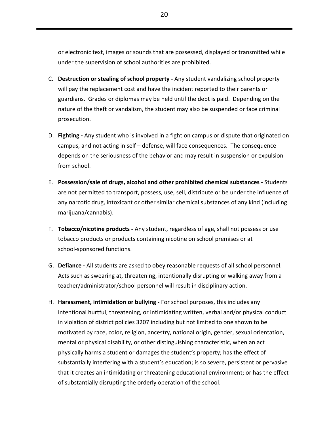or electronic text, images or sounds that are possessed, displayed or transmitted while under the supervision of school authorities are prohibited.

- C. **Destruction or stealing of school property -** Any student vandalizing school property will pay the replacement cost and have the incident reported to their parents or guardians. Grades or diplomas may be held until the debt is paid. Depending on the nature of the theft or vandalism, the student may also be suspended or face criminal prosecution.
- D. **Fighting -** Any student who is involved in a fight on campus or dispute that originated on campus, and not acting in self – defense, will face consequences. The consequence depends on the seriousness of the behavior and may result in suspension or expulsion from school.
- E. **Possession/sale of drugs, alcohol and other prohibited chemical substances -** Students are not permitted to transport, possess, use, sell, distribute or be under the influence of any narcotic drug, intoxicant or other similar chemical substances of any kind (including marijuana/cannabis).
- F. **Tobacco/nicotine products -** Any student, regardless of age, shall not possess or use tobacco products or products containing nicotine on school premises or at school-sponsored functions.
- G. **Defiance -** All students are asked to obey reasonable requests of all school personnel. Acts such as swearing at, threatening, intentionally disrupting or walking away from a teacher/administrator/school personnel will result in disciplinary action.
- H. **Harassment, intimidation or bullying -** For school purposes, this includes any intentional hurtful, threatening, or intimidating written, verbal and/or physical conduct in violation of district policies 3207 including but not limited to one shown to be motivated by race, color, religion, ancestry, national origin, gender, sexual orientation, mental or physical disability, or other distinguishing characteristic, when an act physically harms a student or damages the student's property; has the effect of substantially interfering with a student's education; is so severe, persistent or pervasive that it creates an intimidating or threatening educational environment; or has the effect of substantially disrupting the orderly operation of the school.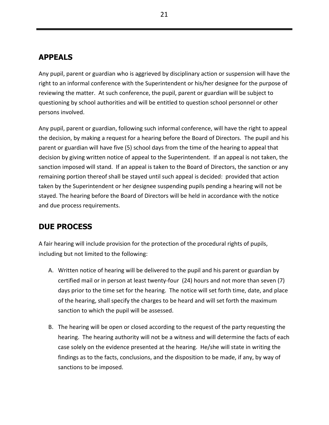### <span id="page-20-0"></span>**APPEALS**

Any pupil, parent or guardian who is aggrieved by disciplinary action or suspension will have the right to an informal conference with the Superintendent or his/her designee for the purpose of reviewing the matter. At such conference, the pupil, parent or guardian will be subject to questioning by school authorities and will be entitled to question school personnel or other persons involved.

Any pupil, parent or guardian, following such informal conference, will have the right to appeal the decision, by making a request for a hearing before the Board of Directors. The pupil and his parent or guardian will have five (5) school days from the time of the hearing to appeal that decision by giving written notice of appeal to the Superintendent. If an appeal is not taken, the sanction imposed will stand. If an appeal is taken to the Board of Directors, the sanction or any remaining portion thereof shall be stayed until such appeal is decided: provided that action taken by the Superintendent or her designee suspending pupils pending a hearing will not be stayed. The hearing before the Board of Directors will be held in accordance with the notice and due process requirements.

### <span id="page-20-1"></span>**DUE PROCESS**

A fair hearing will include provision for the protection of the procedural rights of pupils, including but not limited to the following:

- A. Written notice of hearing will be delivered to the pupil and his parent or guardian by certified mail or in person at least twenty-four (24) hours and not more than seven (7) days prior to the time set for the hearing. The notice will set forth time, date, and place of the hearing, shall specify the charges to be heard and will set forth the maximum sanction to which the pupil will be assessed.
- B. The hearing will be open or closed according to the request of the party requesting the hearing. The hearing authority will not be a witness and will determine the facts of each case solely on the evidence presented at the hearing. He/she will state in writing the findings as to the facts, conclusions, and the disposition to be made, if any, by way of sanctions to be imposed.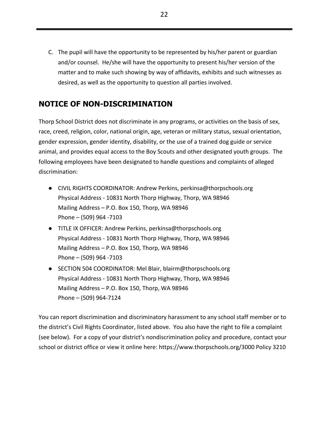C. The pupil will have the opportunity to be represented by his/her parent or guardian and/or counsel. He/she will have the opportunity to present his/her version of the matter and to make such showing by way of affidavits, exhibits and such witnesses as desired, as well as the opportunity to question all parties involved.

### <span id="page-21-0"></span>**NOTICE OF NON-DISCRIMINATION**

Thorp School District does not discriminate in any programs, or activities on the basis of sex, race, creed, religion, color, national origin, age, veteran or military status, sexual orientation, gender expression, gender identity, disability, or the use of a trained dog guide or service animal, and provides equal access to the Boy Scouts and other designated youth groups. The following employees have been designated to handle questions and complaints of alleged discrimination:

- CIVIL RIGHTS COORDINATOR: Andrew Perkins, [perkinsa@thorpschools.org](mailto:perkinsa@thorpschools.org) Physical Address - 10831 North Thorp Highway, Thorp, WA 98946 Mailing Address – P.O. Box 150, Thorp, WA 98946 Phone – (509) 964 -7103
- TITLE IX OFFICER: Andrew Perkins, [perkinsa@thorpschools.org](mailto:perkinsa@thorpschools.org) Physical Address - 10831 North Thorp Highway, Thorp, WA 98946 Mailing Address – P.O. Box 150, Thorp, WA 98946 Phone – (509) 964 -7103
- SECTION 504 COORDINATOR: Mel Blair, [blairm@thorpschools.org](mailto:blairm@thorpschools.org) Physical Address - 10831 North Thorp Highway, Thorp, WA 98946 Mailing Address – P.O. Box 150, Thorp, WA 98946 Phone – (509) 964-7124

You can report discrimination and discriminatory harassment to any school staff member or to the district's Civil Rights Coordinator, listed above. You also have the right to file a complaint (see below). For a copy of your district's nondiscrimination policy and procedure, contact your school or district office or view it online here: <https://www.thorpschools.org/3000>Policy 3210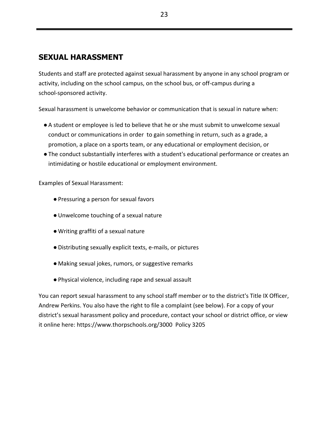### <span id="page-22-0"></span>**SEXUAL HARASSMENT**

Students and staff are protected against sexual harassment by anyone in any school program or activity, including on the school campus, on the school bus, or off-campus during a school-sponsored activity.

Sexual harassment is unwelcome behavior or communication that is sexual in nature when:

- ●A student or employee is led to believe that he or she must submit to unwelcome sexual conduct or communications in order to gain something in return, such as a grade, a promotion, a place on a sports team, or any educational or employment decision, or
- ●The conduct substantially interferes with a student's educational performance or creates an intimidating or hostile educational or employment environment.

Examples of Sexual Harassment:

- ●Pressuring a person for sexual favors
- ●Unwelcome touching of a sexual nature
- ●Writing graffiti of a sexual nature
- ●Distributing sexually explicit texts, e-mails, or pictures
- Making sexual jokes, rumors, or suggestive remarks
- ●Physical violence, including rape and sexual assault

You can report sexual harassment to any school staff member or to the district's Title IX Officer, Andrew Perkins. You also have the right to file a complaint (see below). For a copy of your district's sexual harassment policy and procedure, contact your school or district office, or view it online here: <https://www.thorpschools.org/3000> Policy 3205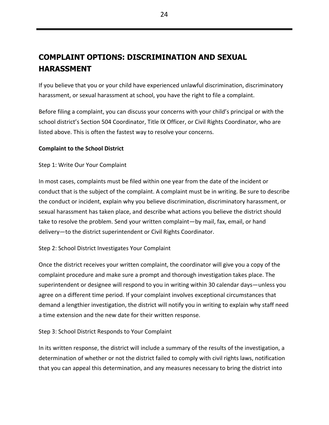# <span id="page-23-0"></span>**COMPLAINT OPTIONS: DISCRIMINATION AND SEXUAL HARASSMENT**

If you believe that you or your child have experienced unlawful discrimination, discriminatory harassment, or sexual harassment at school, you have the right to file a complaint.

Before filing a complaint, you can discuss your concerns with your child's principal or with the school district's Section 504 Coordinator, Title IX Officer, or Civil Rights Coordinator, who are listed above. This is often the fastest way to resolve your concerns.

#### **Complaint to the School District**

#### Step 1: Write Our Your Complaint

In most cases, complaints must be filed within one year from the date of the incident or conduct that is the subject of the complaint. A complaint must be in writing. Be sure to describe the conduct or incident, explain why you believe discrimination, discriminatory harassment, or sexual harassment has taken place, and describe what actions you believe the district should take to resolve the problem. Send your written complaint—by mail, fax, email, or hand delivery—to the district superintendent or Civil Rights Coordinator.

#### Step 2: School District Investigates Your Complaint

Once the district receives your written complaint, the coordinator will give you a copy of the complaint procedure and make sure a prompt and thorough investigation takes place. The superintendent or designee will respond to you in writing within 30 calendar days—unless you agree on a different time period. If your complaint involves exceptional circumstances that demand a lengthier investigation, the district will notify you in writing to explain why staff need a time extension and the new date for their written response.

#### Step 3: School District Responds to Your Complaint

In its written response, the district will include a summary of the results of the investigation, a determination of whether or not the district failed to comply with civil rights laws, notification that you can appeal this determination, and any measures necessary to bring the district into